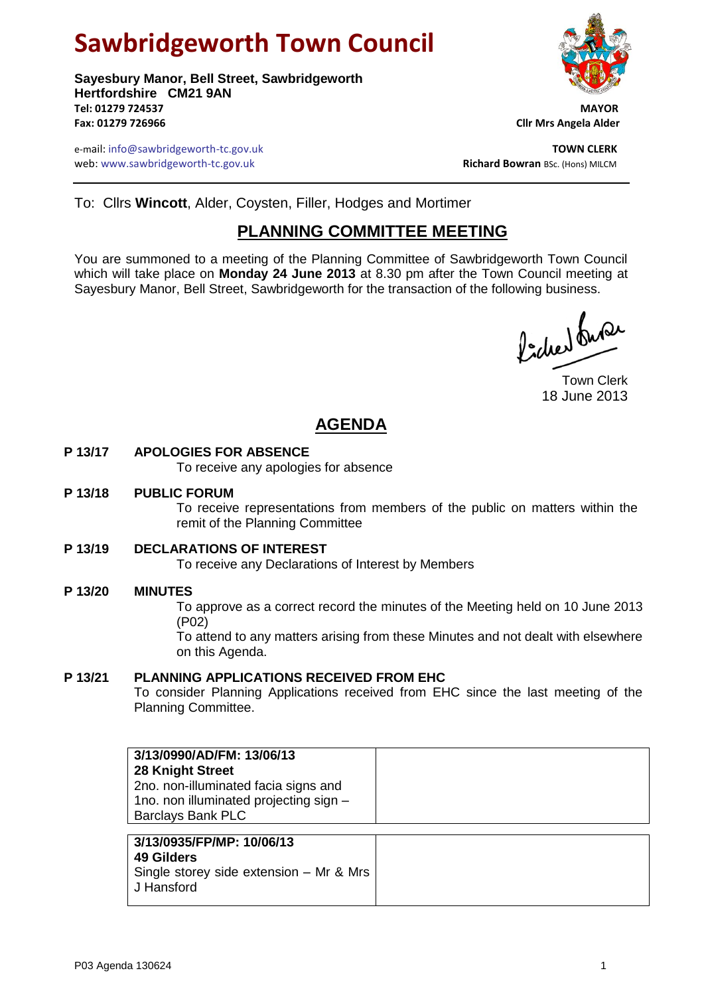# **Sawbridgeworth Town Council**

**Sayesbury Manor, Bell Street, Sawbridgeworth Hertfordshire CM21 9AN Tel: 01279 724537 MAYOR Fax: 01279 726966 Cllr Mrs Angela Alder**

e-mail: info@sawbridgeworth-tc.gov.uk<br>**Web:** www.sawbridgeworth-tc.gov.uk **TOWN CLERK**<br>**Richard Bowran** BSc. (Hons) MILCM web: www.sawbridgeworth-tc.gov.uk



To: Cllrs **Wincott**, Alder, Coysten, Filler, Hodges and Mortimer

## **PLANNING COMMITTEE MEETING**

You are summoned to a meeting of the Planning Committee of Sawbridgeworth Town Council which will take place on **Monday 24 June 2013** at 8.30 pm after the Town Council meeting at Sayesbury Manor, Bell Street, Sawbridgeworth for the transaction of the following business.

ladres burer

Town Clerk 18 June 2013

# **AGENDA**

#### **P 13/17 APOLOGIES FOR ABSENCE**

To receive any apologies for absence

#### **P 13/18 PUBLIC FORUM**

To receive representations from members of the public on matters within the remit of the Planning Committee

#### **P 13/19 DECLARATIONS OF INTEREST**

To receive any Declarations of Interest by Members

#### **P 13/20 MINUTES**

To approve as a correct record the minutes of the Meeting held on 10 June 2013 (P02)

To attend to any matters arising from these Minutes and not dealt with elsewhere on this Agenda.

#### **P 13/21 PLANNING APPLICATIONS RECEIVED FROM EHC**

To consider Planning Applications received from EHC since the last meeting of the Planning Committee.

| 3/13/0990/AD/FM: 13/06/13<br>28 Knight Street<br>2no. non-illuminated facia signs and<br>1no. non illuminated projecting sign - |  |
|---------------------------------------------------------------------------------------------------------------------------------|--|
| <b>Barclays Bank PLC</b>                                                                                                        |  |
| 3/13/0935/FP/MP: 10/06/13                                                                                                       |  |

## **49 Gilders**

Single storey side extension – Mr & Mrs J Hansford